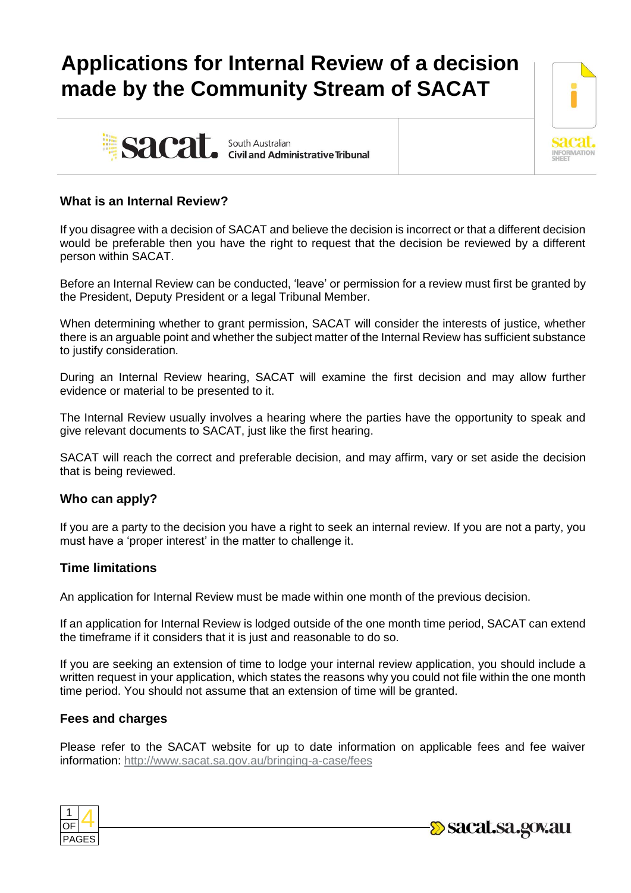# **Applications for Internal Review of a decision made by the Community Stream of SACAT**





## **What is an Internal Review?**

If you disagree with a decision of SACAT and believe the decision is incorrect or that a different decision would be preferable then you have the right to request that the decision be reviewed by a different person within SACAT.

Before an Internal Review can be conducted, 'leave' or permission for a review must first be granted by the President, Deputy President or a legal Tribunal Member.

When determining whether to grant permission, SACAT will consider the interests of justice, whether there is an arguable point and whether the subject matter of the Internal Review has sufficient substance to justify consideration.

During an Internal Review hearing, SACAT will examine the first decision and may allow further evidence or material to be presented to it.

The Internal Review usually involves a hearing where the parties have the opportunity to speak and give relevant documents to SACAT, just like the first hearing.

SACAT will reach the correct and preferable decision, and may affirm, vary or set aside the decision that is being reviewed.

## **Who can apply?**

If you are a party to the decision you have a right to seek an internal review. If you are not a party, you must have a 'proper interest' in the matter to challenge it.

## **Time limitations**

An application for Internal Review must be made within one month of the previous decision.

If an application for Internal Review is lodged outside of the one month time period, SACAT can extend the timeframe if it considers that it is just and reasonable to do so.

If you are seeking an extension of time to lodge your internal review application, you should include a written request in your application, which states the reasons why you could not file within the one month time period. You should not assume that an extension of time will be granted.

## **Fees and charges**

Please refer to the SACAT website for up to date information on applicable fees and fee waiver information: <http://www.sacat.sa.gov.au/bringing-a-case/fees>



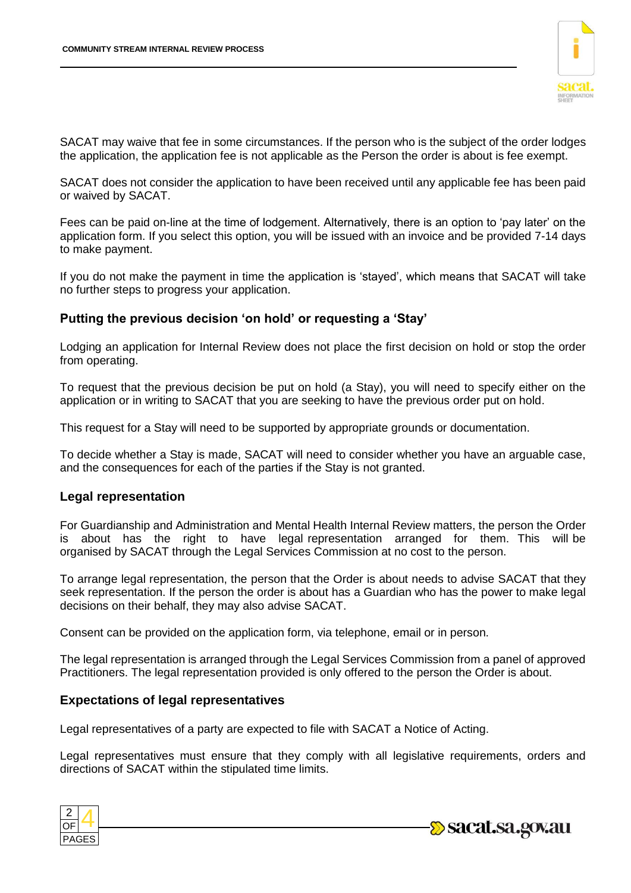

SACAT may waive that fee in some circumstances. If the person who is the subject of the order lodges the application, the application fee is not applicable as the Person the order is about is fee exempt.

SACAT does not consider the application to have been received until any applicable fee has been paid or waived by SACAT.

Fees can be paid on-line at the time of lodgement. Alternatively, there is an option to 'pay later' on the application form. If you select this option, you will be issued with an invoice and be provided 7-14 days to make payment.

If you do not make the payment in time the application is 'stayed', which means that SACAT will take no further steps to progress your application.

## **Putting the previous decision 'on hold' or requesting a 'Stay'**

Lodging an application for Internal Review does not place the first decision on hold or stop the order from operating.

To request that the previous decision be put on hold (a Stay), you will need to specify either on the application or in writing to SACAT that you are seeking to have the previous order put on hold.

This request for a Stay will need to be supported by appropriate grounds or documentation.

To decide whether a Stay is made, SACAT will need to consider whether you have an arguable case, and the consequences for each of the parties if the Stay is not granted.

#### **Legal representation**

For Guardianship and Administration and Mental Health Internal Review matters, the person the Order is about has the right to have legal representation arranged for them. This will be organised by SACAT through the Legal Services Commission at no cost to the person.

To arrange legal representation, the person that the Order is about needs to advise SACAT that they seek representation. If the person the order is about has a Guardian who has the power to make legal decisions on their behalf, they may also advise SACAT.

Consent can be provided on the application form, via telephone, email or in person.

The legal representation is arranged through the Legal Services Commission from a panel of approved Practitioners. The legal representation provided is only offered to the person the Order is about.

#### **Expectations of legal representatives**

Legal representatives of a party are expected to file with SACAT a Notice of Acting.

Legal representatives must ensure that they comply with all legislative requirements, orders and directions of SACAT within the stipulated time limits.



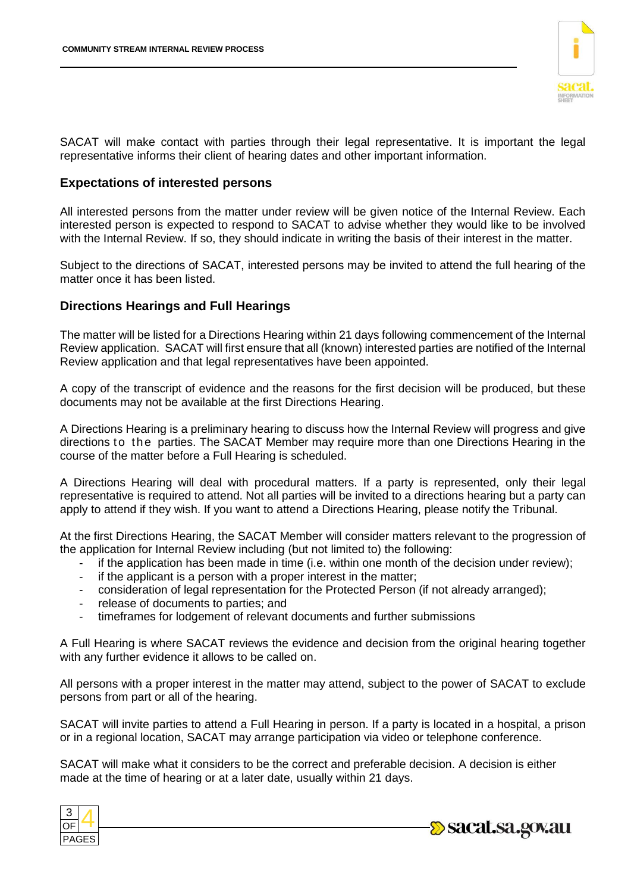

SACAT will make contact with parties through their legal representative. It is important the legal representative informs their client of hearing dates and other important information.

## **Expectations of interested persons**

All interested persons from the matter under review will be given notice of the Internal Review. Each interested person is expected to respond to SACAT to advise whether they would like to be involved with the Internal Review. If so, they should indicate in writing the basis of their interest in the matter.

Subject to the directions of SACAT, interested persons may be invited to attend the full hearing of the matter once it has been listed.

## **Directions Hearings and Full Hearings**

The matter will be listed for a Directions Hearing within 21 days following commencement of the Internal Review application. SACAT will first ensure that all (known) interested parties are notified of the Internal Review application and that legal representatives have been appointed.

A copy of the transcript of evidence and the reasons for the first decision will be produced, but these documents may not be available at the first Directions Hearing.

A Directions Hearing is a preliminary hearing to discuss how the Internal Review will progress and give directions to the parties. The SACAT Member may require more than one Directions Hearing in the course of the matter before a Full Hearing is scheduled.

A Directions Hearing will deal with procedural matters. If a party is represented, only their legal representative is required to attend. Not all parties will be invited to a directions hearing but a party can apply to attend if they wish. If you want to attend a Directions Hearing, please notify the Tribunal.

At the first Directions Hearing, the SACAT Member will consider matters relevant to the progression of the application for Internal Review including (but not limited to) the following:

- if the application has been made in time (i.e. within one month of the decision under review);
- if the applicant is a person with a proper interest in the matter;
- consideration of legal representation for the Protected Person (if not already arranged);
- release of documents to parties; and
- timeframes for lodgement of relevant documents and further submissions

A Full Hearing is where SACAT reviews the evidence and decision from the original hearing together with any further evidence it allows to be called on.

All persons with a proper interest in the matter may attend, subject to the power of SACAT to exclude persons from part or all of the hearing.

SACAT will invite parties to attend a Full Hearing in person. If a party is located in a hospital, a prison or in a regional location, SACAT may arrange participation via video or telephone conference.

SACAT will make what it considers to be the correct and preferable decision. A decision is either made at the time of hearing or at a later date, usually within 21 days.